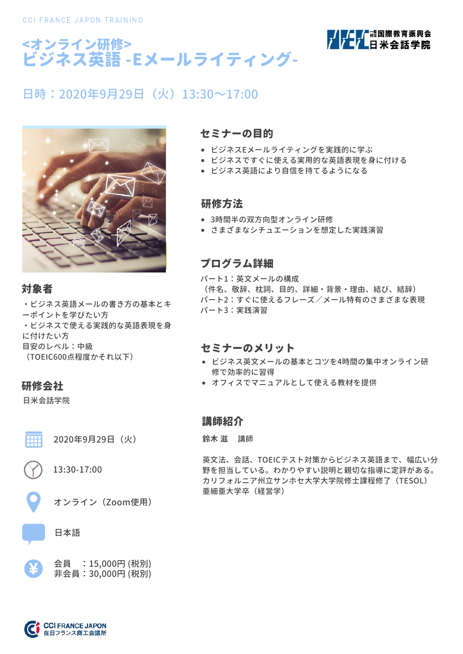



# 日時: 2020年9月29日(火) 13:30~17:00



### 対象者

・ビジネス英語メールの書き方の基本とキ ーポイントを学びたい方 ・ビジネスで使える実践的な英語表現を身 に付けたい方 目安のレベル:中級 (TOEIC600点程度かそれ以下)

### 研修会社

||||||

日米会話学院

2020年9月29日(火)

13:30-17:00

オンライン(Zoom使用)

### 日本語



### セミナーの目的

- ビジネスEメールライティングを実践的に学ぶ
- ビジネスですぐに使える実用的な英語表現を身に付ける
- ビジネス英語により自信を持てるようになる

### 研修方法

- 3時間半の双方向型オンライン研修
- さまざまなシチュエーションを想定した実践演習

### プログラム詳細

パート1:英文メールの構成 (件名、敬辞、枕詞、目的、詳細・背景・理由、結び、結辞) パート2:すぐに使えるフレーズ/メール特有のさまざまな表現 パート3:実践演習

### セミナーのメリット

- ビジネス英文メールの基本とコツを4時間の集中オンライン研 修で効率的に習得
- オフィスでマニュアルとして使える教材を提供

### 講師紹介

**鈴木 滋** 講師

英文法、会話、TOEICテスト対策からビジネス英語まで、幅広い分 野を担当している。わかりやすい説明と親切な指導に定評がある。 カリフォルニア州立サンホセ大学大学院修士課程修了(TESOL) 亜細亜大学卒(経営学)